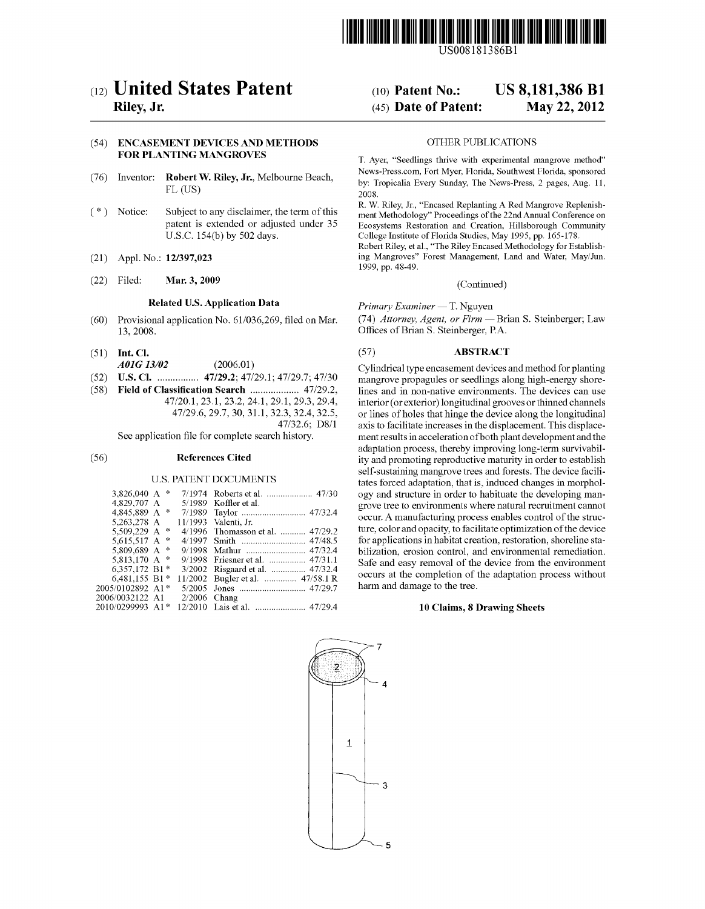

US008181386B1

# (54) ENCASEMENT DEVICES AND METHODS OTHER PUBLICATIONS FOR PLANTING MANGROVES

- (76) Inventor: Robert W. Riley, Jr., Melbourne Beach, FL (US)
- Subject to any disclaimer, the term of this patent is extended or adjusted under 35 U.S.C. 154(b) by 502 days. (\*) Notice:
- (21) Appl. No.: 12/397,023
- (22) Filed: Mar. 3, 2009

# Related U.S. Application Data

- (60) Provisional application No. 61/036,269, filed on Mar. 13, 2008.
- (51) Int. Cl.
- AOIG 3/02 (2006.01)
- (52) U.S. Cl. ................ 47/29.2:47/29.1; 47/29.7:47/30 (58) Field of Classification Search ................... 47/29.2,
- 47/20.1, 23.1, 23.2, 24.1, 29.1, 29.3, 29.4, 47/29.6, 29.7, 30, 31.1, 32.3, 32.4, 32.5, 47/32.6; D8/1

See application file for complete search history.

#### (56) References Cited

#### U.S. PATENT DOCUMENTS

| 3.826.040 A               | $\frac{1}{2}$ |         |                           |
|---------------------------|---------------|---------|---------------------------|
| 4,829,707 A               |               | 5/1989  | Koffler et al.            |
| 4,845,889 A               | 惨             | 7/1989  |                           |
| 5.263.278 A               |               | 11/1993 | Valenti, Jr.              |
| 5,509,229 A               | $\ast$        | 4/1996  | Thomasson et al.  47/29.2 |
| 5,615,517 A               | 惨             | 4/1997  |                           |
| 5,809,689 A               | $\frac{1}{2}$ | 9/1998  |                           |
| 5,813,170 A *             |               |         |                           |
| 6.357.172 B1*             |               | 3/2002  |                           |
| 6.481.155 B1 <sup>*</sup> |               | 11/2002 | Bugler et al.  47/58.1 R  |
| 2005/0102892 A1*          |               | 5/2005  |                           |
| 2006/0032122 A1           |               | 2/2006  | Chang                     |
| 2010/0299993 A1*          |               | 12/2010 |                           |
|                           |               |         |                           |

# (12) United States Patent (10) Patent No.: US 8,181,386 B1<br>Riley, Jr. (45) Date of Patent: May 22, 2012  $(45)$  Date of Patent:

T. Ayer, "Seedlings thrive with experimental mangrove method" News-Press.com. Fort Myer, Florida, Southwest Florida, sponsored by: Tropicalia. Every Sunday, The News-Press, 2 pages, Aug. 11, 2008.

R. W. Riley, Jr., "Encased Replanting A Red Mangrove Replenish ment Methodology" Proceedings of the 22nd Annual Conference on Ecosystems Restoration and Creation, Hillsborough Community College Institute of Florida Studies, May 1995, pp. 165-178. Robert Riley, et al., "The Riley Encased Methodology for Establish

ing Mangroves' Forest Management, Land and Water, May/Jun. 1999, pp. 48-49.

(Continued)

Primary Examiner — T. Nguyen

(74) Attorney, Agent, or Firm — Brian S. Steinberger; Law Offices of Brian S. Steinberger, PA.

#### (57) ABSTRACT

Cylindrical type encasement devices and method for planting mangrove propagules or seedlings along high-energy shore lines and in non-native environments. The devices can use interior (or exterior) longitudinal grooves or thinned channels axis to facilitate increases in the displacement. This displacement results in acceleration of both plant development and the adaptation process, thereby improving long-term survivability and promoting reproductive maturity in order to establish self-sustaining mangrove trees and forests. The device facili tates forced adaptation, that is, induced changes in morphol ogy and structure in order to habituate the developing man grove tree to environments where natural recruitment cannot occur. A manufacturing process enables control of the struc ture, color and opacity, to facilitate optimization of the device for applications in habitat creation, restoration, shoreline stabilization, erosion control, and environmental remediation. Safe and easy removal of the device from the environment occurs at the completion of the adaptation process without harm and damage to the tree.

# 10 Claims, 8 Drawing Sheets

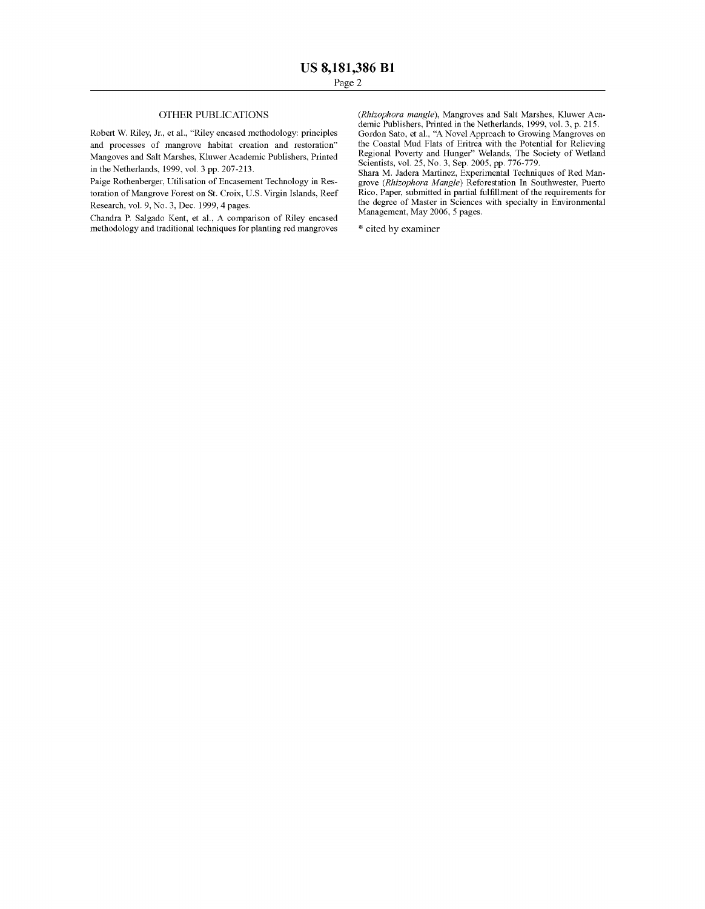# OTHER PUBLICATIONS

Robert W. Riley, Jr., et al., "Riley encased methodology: principles and processes of mangrove habitat creation and restoration' Mangoves and Salt Marshes, Kluwer Academic Publishers, Printed in the Netherlands, 1999, vol. 3 pp. 207-213.

Paige Rothenberger, Utilisation of Encasement Technology in Res toration of Mangrove Forest on St. Croix, U.S. Virgin Islands, Reef Research, vol. 9, No. 3, Dec. 1999, 4 pages.

Chandra P. Salgado Kent, et al., A comparison of Riley encased methodology and traditional techniques for planting red mangroves (Rhizophora mangle), Mangroves and Salt Marshes, Kluwer Academic Publishers, Printed in the Netherlands, 1999, vol. 3, p. 215. demic Publishers, Printed in the Netherlands, 1999, vol. 3, p. 215. Gordon Sato, et al., "A Novel Approach to Growing Mangroves on the Coastal Mud Flats of Eritrea with the Potential for Relieving Regional Poverty and Hunger' Welands, The Society of Wetland Scientists, vol. 25, No. 3, Sep. 2005, pp. 776-779.

Shara M. Jadera Martinez, Experimental Techniques of Red Man grove (Rhizophora Mangle) Reforestation. In Southwester, Puerto Rico, Paper, submitted in partial fulfillment of the requirements for the degree of Master in Sciences with specialty in Environmental Management, May 2006, 5 pages.

\* cited by examiner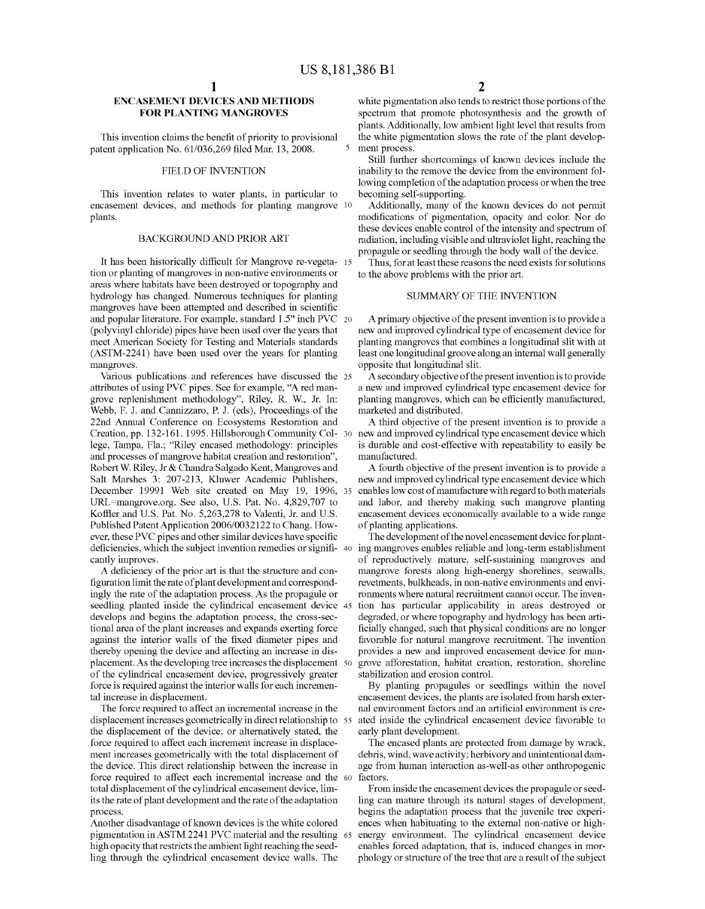# ENCASEMENT DEVICES AND METHODS FOR PLANTING MANGROVES

This invention claims the benefit of priority to provisional patent application No. 61/036.269 filed Mar. 13, 2008.

### FIELD OF INVENTION

This invention relates to water plants, in particular to encasement devices, and methods for planting mangrove <sup>10</sup><br>plants.

#### BACKGROUND AND PRIOR ART

It has been historically difficult for Mangrove re-vegeta- 15 tion or planting of mangroves in non-native environments or areas where habitats have been destroyed or topography and hydrology has changed. Numerous techniques for planting mangroves have been attempted and described in scientific and popular literature. For example, standard 1.5" inch PVC (polyvinyl chloride) pipes have been used over the years that meet American Society for Testing and Materials standards (ASTM-2241) have been used over the years for planting mangroves.

Various publications and references have discussed the 25 attributes of using PVC pipes. See for example, "A red man grove replenishment methodology". Riley, R. W., Jr. In: Webb, F. J. and Cannizzaro, P. J. (eds), Proceedings of the 22nd Annual Conference on Ecosystems Restoration and Creation, pp. 132-161. 1995. Hillsborough Community Col- 30 lege, Tampa, Fla., "Riley encased methodology: principles and processes of mangrove habitat creation and restoration', Robert W. Riley, Jr & Chandra Salgado Kent, Mangroves and Salt Marshes 3: 207-213, Kluwer Academic Publishers, December 19991 Web site created on May 19, 1996, 35 URL=mangrove.org. See also, U.S. Pat. No. 4,829,707 to Koffler and U.S. Pat. No. 5,263,278 to Valenti, Jr. and U.S. Published Patent Application 2006/0032122 to Chang. How ever, these PVC pipes and other similar devices have specific<br>deficiencies, which the subject invention remedies or signifi-<br>cantly improves.

A deficiency of the prior art is that the structure and con figuration limit the rate of plant development and correspond ingly the rate of the adaptation process. As the propagule or seedling planted inside the cylindrical encasement device 45 develops and begins the adaptation process, the cross-sec tional area of the plant increases and expands exerting force against the interior walls of the fixed diameter pipes and thereby opening the device and affecting an increase in dis placement. As the developing tree increases the displacement 50 of the cylindrical encasement device, progressively greater force is required against the interior walls for each incremen tal increase in displacement.

The force required to affect an incremental increase in the displacement increases geometrically in direct relationship to 55 the displacement of the device; or alternatively stated, the force required to affect each increment increase in displace ment increases geometrically with the total displacement of the device. This direct relationship between the increase in force required to affect each incremental increase and the 60 total displacement of the cylindrical encasement device, lim its the rate of plant development and the rate of the adaptation process.

Another disadvantage of known devices is the white colored high opacity that restricts the ambient light reaching the seedling through the cylindrical encasement device walls. The pigmentation in ASTM 2241 PVC material and the resulting 65

white pigmentation also tends to restrict those portions of the spectrum that promote photosynthesis and the growth of plants. Additionally, low ambient light level that results from the white pigmentation slows the rate of the plant develop ment process.

Still further shortcomings of known devices include the inability to the remove the device from the environment fol lowing completion of the adaptation process or when the tree becoming self-supporting.

Additionally, many of the known devices do not permit modifications of pigmentation, opacity and color. Nor do these devices enable control of the intensity and spectrum of radiation, including visible and ultraviolet light, reaching the propagule or seedling through the body wall of the device.

Thus, for at least these reasons the need exists for solutions to the above problems with the prior art.

#### SUMMARY OF THE INVENTION

A primary objective of the present invention is to provide a new and improved cylindrical type of encasement device for planting mangroves that combines a longitudinal slit with at least one longitudinal groove along an internal wall generally opposite that longitudinal slit.

A secondary objective of the present invention is to provide a new and improved cylindrical type encasement device for planting mangroves, which can be efficiently manufactured, marketed and distributed.

A third objective of the present invention is to provide a new and improved cylindrical type encasement device which is durable and cost-effective with repeatability to easily be manufactured.

A fourth objective of the present invention is to provide a new and improved cylindrical type encasement device which enables low cost of manufacture with regard to both materials and labor, and thereby making such mangrove planting encasement devices economically available to a wide range of planting applications.<br>The development of the novel encasement device for plant-

40 The development of the novel encasement device for plant ing mangroves enables reliable and long-term establishment of reproductively mature, self-sustaining mangroves and mangrove forests along high-energy shorelines, seawalls, revetments, bulkheads, in non-native environments and envi ronments where natural recruitment cannot occur. The inven tion has particular applicability in areas destroyed or degraded, or where topography and hydrology has been arti ficially changed, such that physical conditions are no longer favorable for natural mangrove recruitment. The invention provides a new and improved encasement device for man grove afforestation, habitat creation, restoration, shoreline stabilization and erosion control.

By planting propagules or seedlings within the novel encasement devices, the plants are isolated from harsh exter nal environment factors and an artificial environment is cre ated inside the cylindrical encasement device favorable to early plant development.

The encased plants are protected from damage by wrack, debris, wind, wave activity; herbivory and unintentional dam age from human interaction as-well-as other anthropogenic factors.

From inside the encasement devices the propagule or seedling can mature through its natural stages of development, begins the adaptation process that the juvenile tree experiences when habituating to the external non-native or high energy environment. The cylindrical encasement device enables forced adaptation, that is, induced changes in mor phology or structure of the tree that are a result of the subject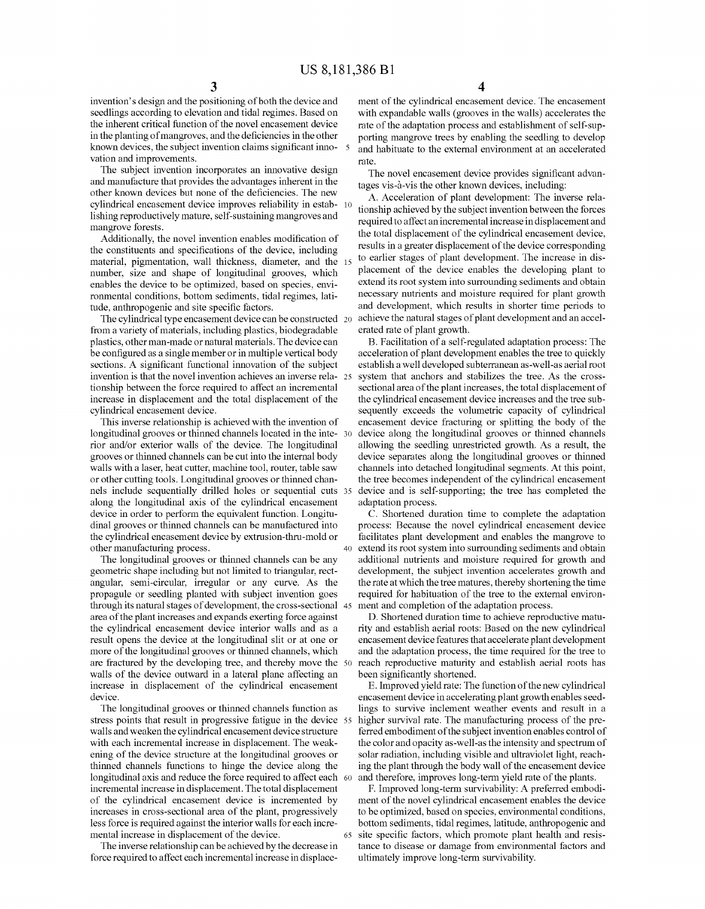invention's design and the positioning of both the device and seedlings according to elevation and tidal regimes. Based on the inherent critical function of the novel encasement device in the planting of mangroves, and the deficiencies in the other known devices, the subject invention claims significant innovation and improvements.

The subject invention incorporates an innovative design and manufacture that provides the advantages inherent in the other known devices but none of the deficiencies. The new cylindrical encasement device improves reliability in estab- 10 lishing reproductively mature, self-sustaining mangroves and mangrove forests.

Additionally, the novel invention enables modification of the constituents and specifications of the device, including material, pigmentation, wall thickness, diameter, and the 15 number, size and shape of longitudinal grooves, which enables the device to be optimized, based on species, envi ronmental conditions, bottom sediments, tidal regimes, lati tude, anthropogenic and site specific factors.

The cylindrical type encasement device can be constructed 20 from a variety of materials, including plastics, biodegradable plastics, other man-made or natural materials. The device can be configured as a single member or in multiple vertical body sections. A significant functional innovation of the subject invention is that the novel invention achieves an inverse rela 25 tionship between the force required to affect an incremental increase in displacement and the total displacement of the cylindrical encasement device.

This inverse relationship is achieved with the invention of longitudinal grooves or thinned channels located in the inte- 30 rior and/or exterior walls of the device. The longitudinal grooves or thinned channels can be cut into the internal body walls with a laser, heat cutter, machine tool, router, table saw or other cutting tools. Longitudinal grooves or thinned chan nels include sequentially drilled holes or sequential cuts 35 along the longitudinal axis of the cylindrical encasement device in order to perform the equivalent function. Longitu dinal grooves or thinned channels can be manufactured into the cylindrical encasement device by extrusion-thru-mold or other manufacturing process. 40

The longitudinal grooves or thinned channels can be any geometric shape including but not limited to triangular, rect angular, semi-circular, irregular or any curve. As the propagule or seedling planted with subject invention goes through its natural stages of development, the cross-sectional 45 area of the plant increases and expands exerting force against the cylindrical encasement device interior walls and as a result opens the device at the longitudinal slit or at one or more of the longitudinal grooves or thinned channels, which are fractured by the developing tree, and thereby move the 50 walls of the device outward in a lateral plane affecting an increase in displacement of the cylindrical encasement device.

The longitudinal grooves or thinned channels function as stress points that result in progressive fatigue in the device 55 walls and weaken the cylindrical encasement device structure with each incremental increase in displacement. The weak ening of the device structure at the longitudinal grooves or thinned channels functions to hinge the device along the longitudinal axis and reduce the force required to affect each 60 incremental increase in displacement. The total displacement<br>of the cylindrical encasement device is incremented by increases in cross-sectional area of the plant, progressively less force is required against the interior walls for each incre mental increase in displacement of the device.

The inverse relationship can be achieved by the decrease in force required to affect each incremental increase in displace

65

ment of the cylindrical encasement device. The encasement with expandable walls (grooves in the walls) accelerates the rate of the adaptation process and establishment of self-supporting mangrove trees by enabling the seedling to develop and habituate to the external environment at an accelerated rate.

The novel encasement device provides significant advan tages vis-a-vis the other known devices, including:

A. Acceleration of plant development: The inverse rela tionship achieved by the subject invention between the forces required to affect an incremental increase in displacement and the total displacement of the cylindrical encasement device, results in a greater displacement of the device corresponding to earlier stages of plant development. The increase in dis placement of the device enables the developing plant to extend its root system into surrounding sediments and obtain necessary nutrients and moisture required for plant growth and development, which results in shorter time periods to achieve the natural stages of plant development and an accel erated rate of plant growth.

B. Facilitation of a self-regulated adaptation process: The acceleration of plant development enables the tree to quickly establish a well developed subterranean as-well-as aerial root system that anchors and stabilizes the tree. As the cross sectional area of the plant increases, the total displacement of the cylindrical encasement device increases and the tree subsequently exceeds the Volumetric capacity of cylindrical encasement device fracturing or splitting the body of the device along the longitudinal grooves or thinned channels allowing the seedling unrestricted growth. As a result, the device separates along the longitudinal grooves or thinned channels into detached longitudinal segments. At this point, the tree becomes independent of the cylindrical encasement device and is self-supporting; the tree has completed the adaptation process.

C. Shortened duration time to complete the adaptation process: Because the novel cylindrical encasement device facilitates plant development and enables the mangrove to extend its root system into surrounding sediments and obtain additional nutrients and moisture required for growth and development, the subject invention accelerates growth and the rate at which the tree matures, thereby shortening the time required for habituation of the tree to the external environ ment and completion of the adaptation process.

D. Shortened duration time to achieve reproductive matu rity and establish aerial roots: Based on the new cylindrical and the adaptation process, the time required for the tree to reach reproductive maturity and establish aerial roots has been significantly shortened.

E. Improved yield rate: The function of the new cylindrical encasement device in accelerating plant growth enables seedlings to Survive inclement weather events and result in a higher survival rate. The manufacturing process of the preferred embodiment of the subject invention enables control of the color and opacity as-well-as the intensity and spectrum of solar radiation, including visible and ultraviolet light, reaching the plant through the body wall of the encasement device and therefore, improves long-term yield rate of the plants.

F. Improved long-term survivability: A preferred embodi ment of the novel cylindrical encasement enables the device to be optimized, based on species, environmental conditions, bottom sediments, tidal regimes, latitude, anthropogenic and site specific factors, which promote plant health and resis tance to disease or damage from environmental factors and ultimately improve long-term survivability.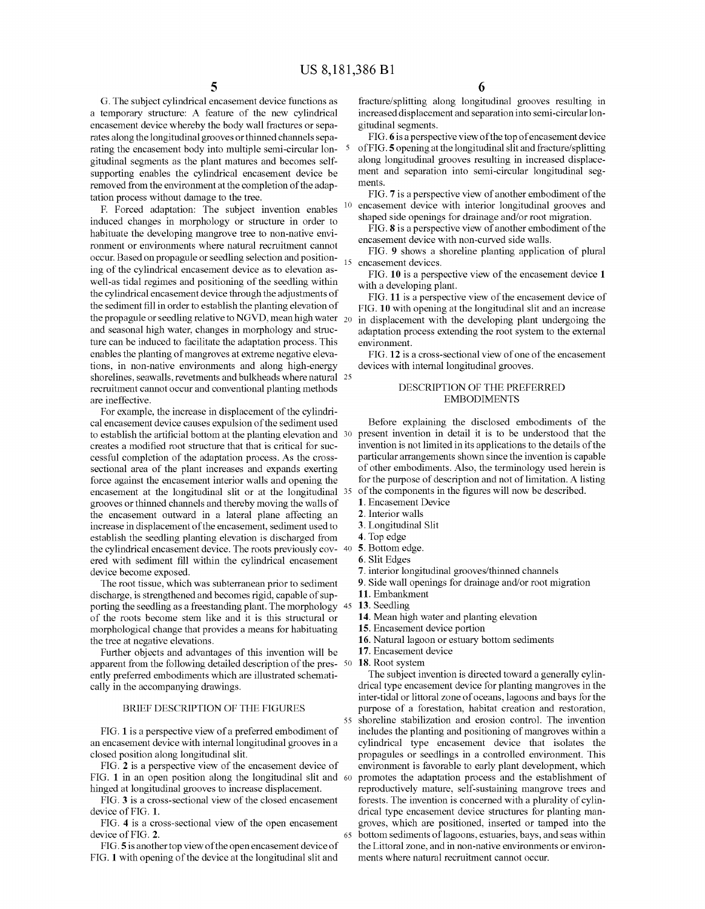G. The subject cylindrical encasement device functions as a temporary structure: A feature of the new cylindrical encasement device whereby the body wall fractures or sepa rates along the longitudinal grooves orthinned channels sepa rating the encasement body into multiple semi-circular lon gitudinal segments as the plant matures and becomes self supporting enables the cylindrical encasement device be removed from the environment at the completion of the adap tation process without damage to the tree.

F. Forced adaptation: The subject invention enables induced changes in morphology or structure in order to habituate the developing mangrove tree to non-native envi ronment or environments where natural recruitment cannot occur. Based on propagule or seedling selection and position ing of the cylindrical encasement device as to elevation as well-as tidal regimes and positioning of the seedling within the cylindrical encasement device through the adjustments of the sediment fill in order to establish the planting elevation of the propagule or seedling relative to NGVD, mean high water  $_{20}$ and seasonal high water, changes in morphology and struc ture can be induced to facilitate the adaptation process. This enables the planting of mangroves at extreme negative eleva tions, in non-native environments and along high-energy shorelines, seawalls, revetments and bulkheads where natural 25 recruitment cannot occur and conventional planting methods are ineffective.

For example, the increase in displacement of the cylindri cal encasement device causes expulsion of the sediment used to establish the artificial bottom at the planting elevation and 30 creates a modified root structure that that is critical for suc cessful completion of the adaptation process. As the cross sectional area of the plant increases and expands exerting force against the encasement interior walls and opening the encasement at the longitudinal slit or at the longitudinal 35 grooves or thinned channels and thereby moving the walls of the encasement outward in a lateral plane affecting an increase in displacement of the encasement, sediment used to establish the seedling planting elevation is discharged from the cylindrical encasement device. The roots previously cov- 40 ered with sediment fill within the cylindrical encasement device become exposed.

The root tissue, which was subterranean prior to sediment discharge, is strengthened and becomes rigid, capable of supdischarge, is strengthened and becomes rigid, capable of sup-<br>porting the seedling as a freestanding plant. The morphology 45 of the roots become stem like and it is this structural or morphological change that provides a means for habituating the tree at negative elevations.

Further objects and advantages of this invention will be apparent from the following detailed description of the pres-  $\frac{50}{20}$ ently preferred embodiments which are illustrated schemati cally in the accompanying drawings.

#### BRIEF DESCRIPTION OF THE FIGURES

FIG. 1 is a perspective view of a preferred embodiment of an encasement device with internal longitudinal grooves in a closed position along longitudinal slit.

FIG. 2 is a perspective view of the encasement device of FIG. 1 in an open position along the longitudinal slit and 60 hinged at longitudinal grooves to increase displacement.

FIG. 3 is a cross-sectional view of the closed encasement device of FIG. 1.

FIG. 4 is a cross-sectional view of the open encasement device of FIG. 2.

FIG.5 is another top view of the open encasement device of FIG. 1 with opening of the device at the longitudinal slit and fracture/splitting along longitudinal grooves resulting in increased displacement and separation into semi-circularlon gitudinal segments.

FIG. 6 is a perspective view of the top of encasement device of FIG.5 opening at the longitudinal slit and fracture/splitting along longitudinal grooves resulting in increased displace ment and separation into semi-circular longitudinal seg ments.

FIG. 7 is a perspective view of another embodiment of the encasement device with interior longitudinal grooves and shaped side openings for drainage and/or root migration.

FIG. 8 is a perspective view of another embodiment of the encasement device with non-curved side walls.

15 encasement devices. FIG. 9 shows a shoreline planting application of plural

FIG. 10 is a perspective view of the encasement device 1 with a developing plant.

FIG. 11 is a perspective view of the encasement device of FIG. 10 with opening at the longitudinal slit and an increase in displacement with the developing plant undergoing the adaptation process extending the root system to the external environment.

FIG. 12 is a cross-sectional view of one of the encasement devices with internal longitudinal grooves.

## DESCRIPTION OF THE PREFERRED EMBODIMENTS

Before explaining the disclosed embodiments of the present invention in detail it is to be understood that the invention is not limited in its applications to the details of the particular arrangements shown since the invention is capable of other embodiments. Also, the terminology used herein is for the purpose of description and not of limitation. A listing of the components in the figures will now be described. . Encasement Device

- 
- 2. Interior walls
- 
- 
- 
- 
- 
- 2. Longitudinal Slit<br>
2. Top edge<br>
2. Bottom edge.<br>
2. Slit Edges<br>
2. interior longitudinal grooves/thinned channels<br>
2. Side wall openings for drainage and/or root migration
- 11. Embankment
- 13. Seedling
- 14. Mean high water and planting elevation
- 15. Encasement device portion
- 16. Natural lagoon or estuary bottom sediments
- 17. Encasement device
- 

55

65

18. Root system<br>The subject invention is directed toward a generally cylindrical type encasement device for planting mangroves in the inter-tidal or littoral Zone of oceans, lagoons and bays for the purpose of a forestation, habitat creation and restoration, shoreline stabilization and erosion control. The invention includes the planting and positioning of mangroves within a cylindrical type encasement device that isolates the propagules or seedlings in a controlled environment. This environment is favorable to early plant development, which promotes the adaptation process and the establishment of reproductively mature, self-sustaining mangrove trees and forests. The invention is concerned with a plurality of cylin drical type encasement device structures for planting man groves, which are positioned, inserted or tamped into the bottom sediments of lagoons, estuaries, bays, and seas within the Littoral zone, and in non-native environments or environments where natural recruitment cannot occur.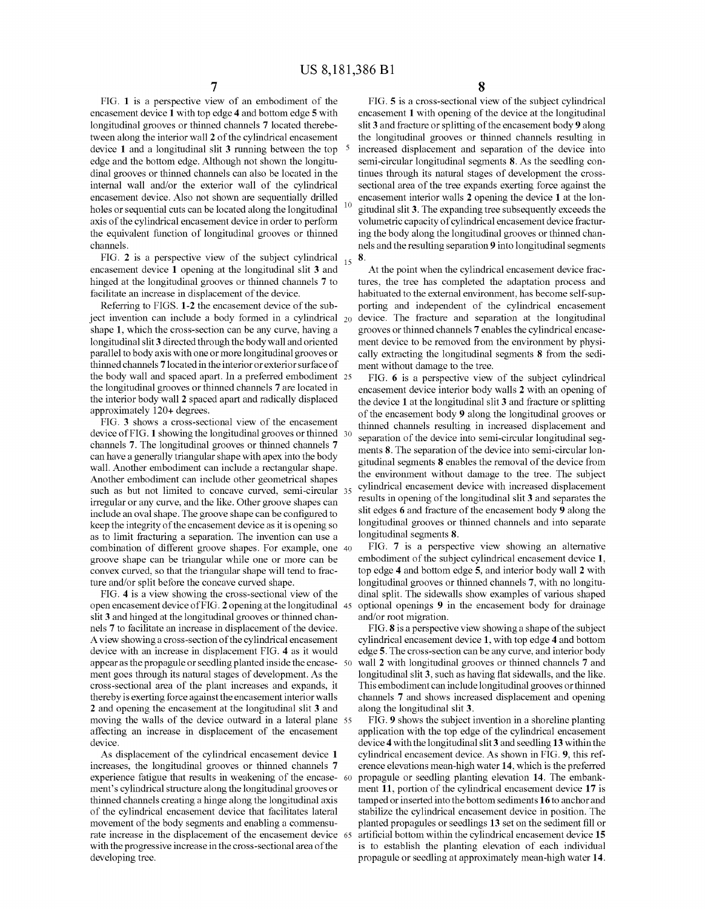FIG. 1 is a perspective view of an embodiment of the encasement device 1 with top edge 4 and bottom edge 5 with longitudinal grooves or thinned channels 7 located therebe tween along the interior wall 2 of the cylindrical encasement device 1 and a longitudinal slit 3 running between the top edge and the bottom edge. Although not shown the longitu dinal grooves or thinned channels can also be located in the internal wall and/or the exterior wall of the cylindrical encasement device. Also not shown are sequentially drilled holes or sequential cuts can be located along the longitudinal axis of the cylindrical encasement device in order to perform the equivalent function of longitudinal grooves or thinned channels.

FIG. 2 is a perspective view of the subject cylindrical  $_{15}$ encasement device 1 opening at the longitudinal slit 3 and hinged at the longitudinal grooves or thinned channels 7 to facilitate an increase in displacement of the device.

Referring to FIGS. 1-2 the encasement device of the sub ject invention can include a body formed in a cylindrical  $_{20}$ shape 1, which the cross-section can be any curve, having a longitudinal slit 3 directed through the body wall and oriented parallel to body axis with one or more longitudinal grooves or thinned channels 7 located in the interior or exterior surface of the body wall and spaced apart. In a preferred embodiment 25 the longitudinal grooves or thinned channels 7 are located in the interior body wall 2 spaced apart and radically displaced approximately 120+ degrees.

FIG. 3 shows a cross-sectional view of the encasement device of FIG. 1 showing the longitudinal grooves or thinned 30 channels 7. The longitudinal grooves or thinned channels 7 can have a generally triangular shape with apex into the body wall. Another embodiment can include a rectangular shape. Another embodiment can include other geometrical shapes such as but not limited to concave curved, semi-circular 35 irregular or any curve, and the like. Other groove shapes can include an oval shape. The groove shape can be configured to keep the integrity of the encasement device as it is opening so as to limit fracturing a separation. The invention can use a combination of different groove shapes. For example, one 40 groove shape can be triangular while one or more can be convex curved, so that the triangular shape will tend to frac ture and/or split before the concave curved shape.

FIG. 4 is a view showing the cross-sectional view of the slit 3 and hinged at the longitudinal grooves or thinned channels 7 to facilitate an increase in displacement of the device. A view showing a cross-section of the cylindrical encasement device with an increase in displacement FIG. 4 as it would appear as the propagule or seedling planted inside the encase 50 ment goes through its natural stages of development. As the cross-sectional area of the plant increases and expands, it thereby is exerting force against the encasement interior walls 2 and opening the encasement at the longitudinal slit 3 and affecting an increase in displacement of the encasement device. open encasement device of FIG. 2 opening at the longitudinal 45 moving the walls of the device outward in a lateral plane 55

As displacement of the cylindrical encasement device 1 increases, the longitudinal grooves or thinned channels 7 experience fatigue that results in weakening of the encase- 60 ment's cylindrical structure along the longitudinal grooves or thinned channels creating a hinge along the longitudinal axis of the cylindrical encasement device that facilitates lateral movement of the body segments and enabling a commensu rate increase in the displacement of the encasement device 65 with the progressive increase in the cross-sectional area of the developing tree.

FIG. 5 is a cross-sectional view of the subject cylindrical encasement 1 with opening of the device at the longitudinal slit 3 and fracture or splitting of the encasement body 9 along the longitudinal grooves or thinned channels resulting in increased displacement and separation of the device into semi-circular longitudinal segments 8. As the seedling con tinues through its natural stages of development the cross sectional area of the tree expands exerting force against the encasement interior walls 2 opening the device 1 at the lon gitudinal slit 3. The expanding tree Subsequently exceeds the Volumetric capacity of cylindrical encasement device fractur ing the body along the longitudinal grooves or thinned chan nels and the resulting separation 9 into longitudinal segments 8.

At the point when the cylindrical encasement device frac tures, the tree has completed the adaptation process and habituated to the external environment, has become self-sup-<br>porting and independent of the cylindrical encasement device. The fracture and separation at the longitudinal grooves or thinned channels 7 enables the cylindrical encase ment device to be removed from the environment by physically extracting the longitudinal segments 8 from the sediment without damage to the tree.

FIG. 6 is a perspective view of the subject cylindrical encasement device interior body walls 2 with an opening of the device 1 at the longitudinal slit 3 and fracture or splitting of the encasement body 9 along the longitudinal grooves or thinned channels resulting in increased displacement and separation of the device into semi-circular longitudinal seg ments 8. The separation of the device into semi-circular lon gitudinal segments 8 enables the removal of the device from the environment without damage to the tree. The subject cylindrical encasement device with increased displacement results in opening of the longitudinal slit 3 and separates the slit edges 6 and fracture of the encasement body 9 along the longitudinal grooves or thinned channels and into separate longitudinal segments 8.

FIG. 7 is a perspective view showing an alternative embodiment of the subject cylindrical encasement device 1, top edge 4 and bottom edge 5, and interior body wall 2 with longitudinal grooves or thinned channels 7, with no longitudinal split. The sidewalls show examples of various shaped optional openings 9 in the encasement body for drainage and/or root migration.

FIG. 8 is a perspective view showing a shape of the subject cylindrical encasement device 1, with top edge 4 and bottom edge 5. The cross-section can be any curve, and interior body wall 2 with longitudinal grooves or thinned channels 7 and longitudinal slit 3, such as having flat sidewalls, and the like. This embodiment can include longitudinal grooves orthinned channels 7 and shows increased displacement and opening along the longitudinal slit 3.<br>FIG. 9 shows the subject invention in a shoreline planting

application with the top edge of the cylindrical encasement device 4 with the longitudinal slit 3 and seedling 13 within the cylindrical encasement device. As shown in FIG. 9, this ref erence elevations mean-high water 14, which is the preferred propagule or seedling planting elevation 14. The embank ment 11, portion of the cylindrical encasement device 17 is tamped or inserted into the bottom sediments 16 to anchor and stabilize the cylindrical encasement device in position. The planted propagules or seedlings 13 set on the sediment fill or artificial bottom within the cylindrical encasement device 15 is to establish the planting elevation of each individual propagule or seedling at approximately mean-high water 14.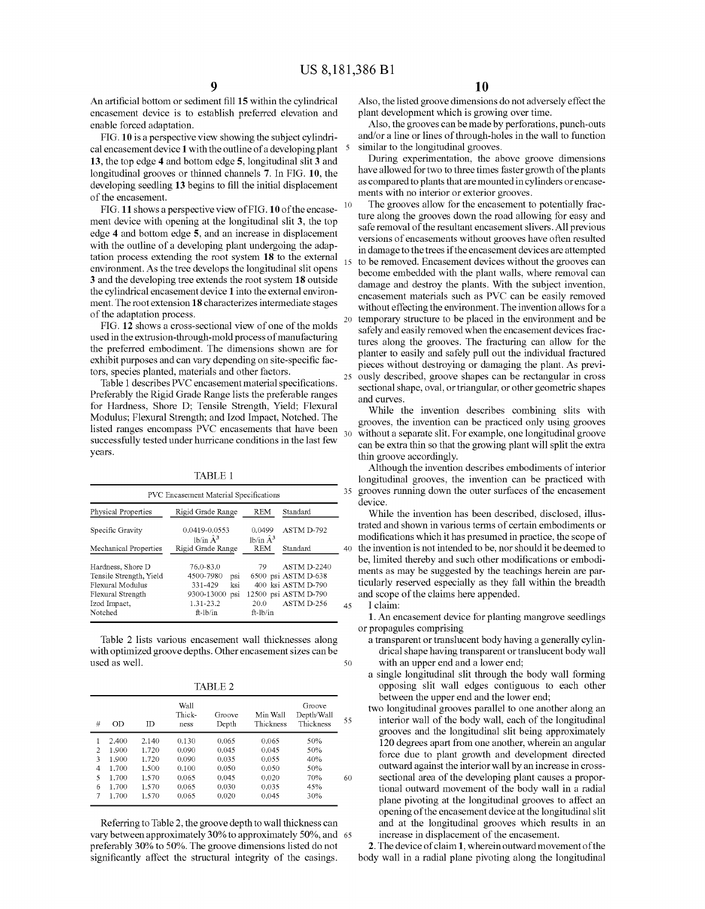15

20

25

An artificial bottom or sediment fill 15 within the cylindrical encasement device is to establish preferred elevation and enable forced adaptation.

FIG. 10 is a perspective view showing the subject cylindri cal encasement device 1 with the outline of a developing plant 13, the top edge 4 and bottom edge 5, longitudinal slit 3 and longitudinal grooves or thinned channels 7. In FIG. 10, the developing seedling 13 begins to fill the initial displacement of the encasement.

FIG. 11 shows a perspective view of FIG. 10 of the encase ment device with opening at the longitudinal slit 3, the top edge 4 and bottom edge 5, and an increase in displacement with the outline of a developing plant undergoing the adaptation process extending the root system 18 to the external environment. As the tree develops the longitudinal slit opens 3 and the developing tree extends the root system 18 outside the cylindrical encasement device 1 into the external environ ment. The root extension 18 characterizes intermediate stages of the adaptation process.

FIG. 12 shows a cross-sectional view of one of the molds used in the extrusion-through-mold process of manufacturing the preferred embodiment. The dimensions shown are for exhibit purposes and can vary depending on site-specific fac tors, species planted, materials and other factors.<br>Table 1 describes PVC encasement material specifications.

Preferably the Rigid Grade Range lists the preferable ranges for Hardness, Shore D; Tensile Strength, Yield; Flexural Modulus; Flexural Strength; and Izod Impact, Notched. The listed ranges encompass PVC encasements that have been successfully tested under hurricane conditions in the last few years. 30

TABLE 1.

|                         | Rigid Grade Range              | <b>REM</b>                  | Standard             |    |
|-------------------------|--------------------------------|-----------------------------|----------------------|----|
| Physical Properties     |                                |                             |                      |    |
| Specific Gravity        | 0.0419-0.0553<br>lb/in $\AA^3$ | 0.0499<br>lb/in $\hat{A}^3$ | ASTM D-792           | 40 |
| Mechanical Properties   | Rigid Grade Range              | <b>REM</b>                  | Standard             |    |
| Hardness, Shore D       | 76.0-83.0                      | 79                          | <b>ASTM D-2240</b>   |    |
| Tensile Strength, Yield | 4500-7980<br>psi               |                             | 6500 psi ASTM D-638  |    |
| Flexural Modulus        | 331-429<br>ksi                 |                             | 400 ksi ASTM D-790   |    |
| Flexural Strength       | 9300-13000<br>psi              |                             | 12500 psi ASTM D-790 |    |
| Izod Impact,            | 1.31-23.2                      | 20.0                        | ASTM D-256           | 45 |
| Notched                 | $ft$ -lb/in                    | $ft$ - $lb/in$              |                      |    |

Table 2 lists various encasement wall thicknesses along with optimized groove depths. Other encasement sizes can be used as well. 50

TABLE 2

| # | OD    | ID    | Wall<br>Thick-<br>ness | Groove<br>Depth | Min Wall<br>Thickness | Groove<br>Depth/Wall<br>Thickness | 55 |
|---|-------|-------|------------------------|-----------------|-----------------------|-----------------------------------|----|
|   | 2.400 | 2.140 | 0.130                  | 0.065           | 0.065                 | 50%                               |    |
| 2 | 1.900 | 1.720 | 0.090                  | 0.045           | 0.045                 | 50%                               |    |
| 3 | 1.900 | 1.720 | 0.090                  | 0.035           | 0.055                 | 40%                               |    |
| 4 | 1.700 | 1.500 | 0.100                  | 0.050           | 0.050                 | 50%                               |    |
| 5 | 1.700 | 1.570 | 0.065                  | 0.045           | 0.020                 | 70%                               | 60 |
| 6 | 1.700 | 1.570 | 0.065                  | 0.030           | 0.035                 | 45%                               |    |
| 7 | 1.700 | 1.570 | 0.065                  | 0.020           | 0.045                 | 30%                               |    |

Referring to Table 2, the groove depth to wall thickness can vary between approximately 30% to approximately 50%, and 65 preferably 30% to 50%. The groove dimensions listed do not significantly affect the structural integrity of the casings.

Also, the listed groove dimensions do not adversely effect the plant development which is growing over time.

Also, the grooves can be made by perforations, punch-outs and/or a line or lines of through-holes in the wall to function similar to the longitudinal grooves.

During experimentation, the above groove dimensions have allowed for two to three times faster growth of the plants as compared to plants that are mounted in cylinders or encase ments with no interior or exterior grooves.

The grooves allow for the encasement to potentially frac ture along the grooves down the road allowing for easy and safe removal of the resultant encasement slivers. All previous versions of encasements without grooves have often resulted in damage to the trees if the encasement devices are attempted to be removed. Encasement devices without the grooves can become embedded with the plant walls, where removal can damage and destroy the plants. With the subject invention, encasement materials such as PVC can be easily removed without effecting the environment. The invention allows for a temporary structure to be placed in the environment and be safely and easily removed when the encasement devices frac tures along the grooves. The fracturing can allow for the planter to easily and safely pull out the individual fractured pieces without destroying or damaging the plant. As previ ously described, groove shapes can be rectangular in cross sectional shape, oval, or triangular, or other geometric shapes and curves.

While the invention describes combining slits with grooves, the invention can be practiced only using grooves without a separate slit. For example, one longitudinal groove can be extra thin so that the growing plant will split the extra thin groove accordingly.

35 grooves running down the outer Surfaces of the encasement Although the invention describes embodiments of interior longitudinal grooves, the invention can be practiced with device.

40 the invention is not intended to be, nor should it be deemed to While the invention has been described, disclosed, illus trated and shown in various terms of certain embodiments or modifications which it has presumed in practice, the scope of be, limited thereby and such other modifications or embodi ments as may be suggested by the teachings herein are par ticularly reserved especially as they fall within the breadth and scope of the claims here appended.

# I claim:

1. An encasement device for planting mangrove seedlings or propagules comprising

- a transparent or translucent body having a generally cylin drical shape having transparent or translucent body wall with an upper end and a lower end;
- a single longitudinal slit through the body wall forming opposing slit wall edges contiguous to each other between the upper end and the lower end;
- two longitudinal grooves parallel to one another along an interior wall of the body wall, each of the longitudinal grooves and the longitudinal slit being approximately 120 degrees apart from one another, wherein an angular force due to plant growth and development directed outward against the interior wall by an increase in cross sectional area of the developing plant causes a propor tional outward movement of the body wall in a radial plane pivoting at the longitudinal grooves to affect an opening of the encasement device at the longitudinal slit and at the longitudinal grooves which results in an increase in displacement of the encasement.

2. The device of claim 1, wherein outward movement of the body wall in a radial plane pivoting along the longitudinal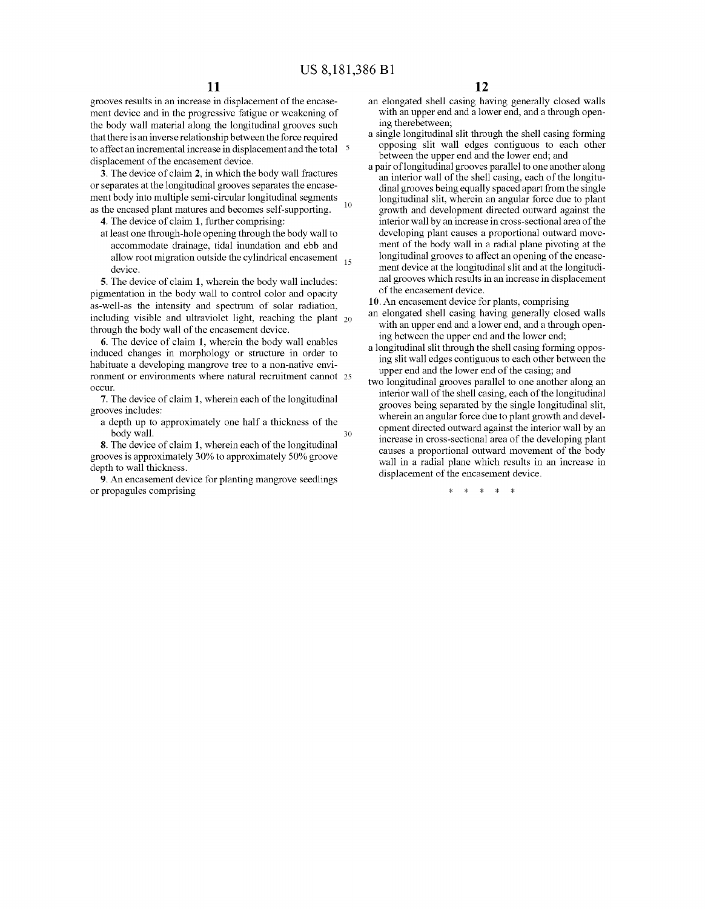grooves results in an increase in displacement of the encase ment device and in the progressive fatigue or weakening of the body wall material along the longitudinal grooves such that there is an inverse relationship between the force required to affect an incremental increase in displacement and the total 5 displacement of the encasement device.

3. The device of claim 2, in which the body wall fractures or separates at the longitudinal grooves separates the encase ment body into multiple semi-circular longitudinal segments as the encased plant matures and becomes self-supporting.

- 4. The device of claim 1, further comprising:
- at least one through-hole opening through the body wall to accommodate drainage, tidal inundation and ebb and allow root migration outside the cylindrical encasement  $\frac{15}{15}$ device.

5. The device of claim 1, wherein the body wall includes: pigmentation in the body wall to control color and opacity as-well-as the intensity and spectrum of solar radiation, including visible and ultraviolet light, reaching the plant  $_{20}$ through the body wall of the encasement device.

6. The device of claim 1, wherein the body wall enables induced changes in morphology or structure in order to habituate a developing mangrove tree to a non-native envi ronment or environments where natural recruitment cannot 25 occur.

7. The device of claim 1, wherein each of the longitudinal grooves includes:

a depth up to approximately one half a thickness of the body wall. 30

8. The device of claim 1, wherein each of the longitudinal grooves is approximately 30% to approximately 50% groove depth to wall thickness.

9. An encasement device for planting mangrove seedlings or propagules comprising

- an elongated shell casing having generally closed walls with an upper end and a lower end, and a through opening therebetween;<br>a single longitudinal slit through the shell casing forming
- opposing slit wall edges contiguous to each other between the upper end and the lower end; and
- a pair of longitudinal grooves parallel to one another along dinal grooves being equally spaced apart from the single longitudinal slit, wherein an angular force due to plant growth and development directed outward against the interior wall by an increase in cross-sectional area of the developing plant causes a proportional outward move ment of the body wall in a radial plane pivoting at the longitudinal grooves to affect an opening of the encase ment device at the longitudinal slit and at the longitudi nal grooves which results in an increase in displacement of the encasement device.
- 10. An encasement device for plants, comprising
- an elongated shell casing having generally closed walls with an upper end and a lower end, and a through open ing between the upper end and the lower end;
- a longitudinal slit through the shell casing forming oppos ing slit wall edges contiguous to each other between the upper end and the lower end of the casing; and
- two longitudinal grooves parallel to one another along an interior wall of the shell casing, each of the longitudinal grooves being separated by the single longitudinal slit, wherein an angular force due to plant growth and devel opment directed outward against the interior wall by an increase in cross-sectional area of the developing plant causes a proportional outward movement of the body wall in a radial plane which results in an increase in displacement of the encasement device.

k k k k k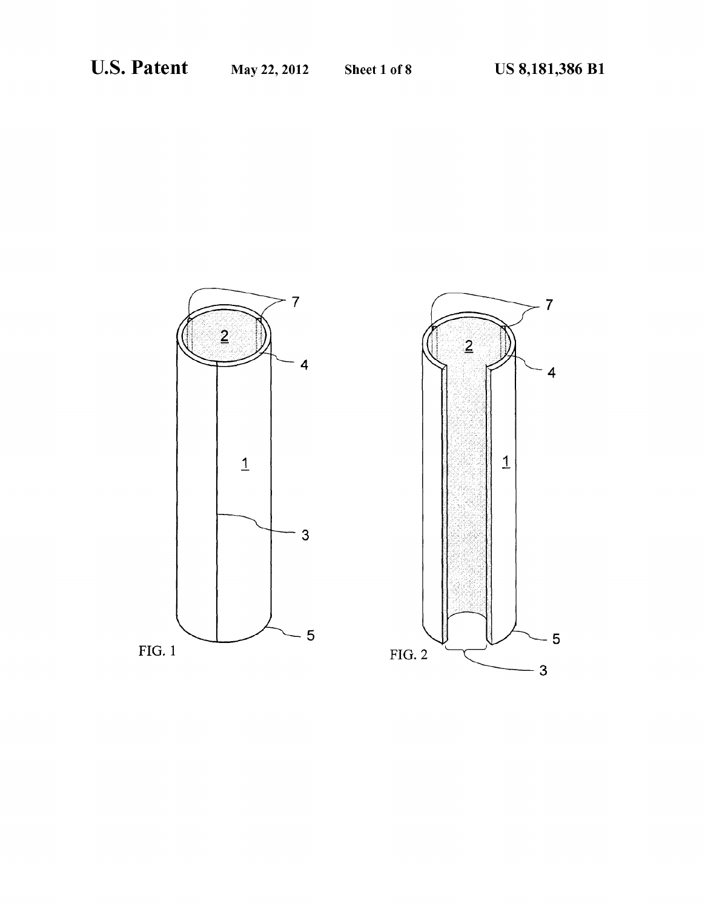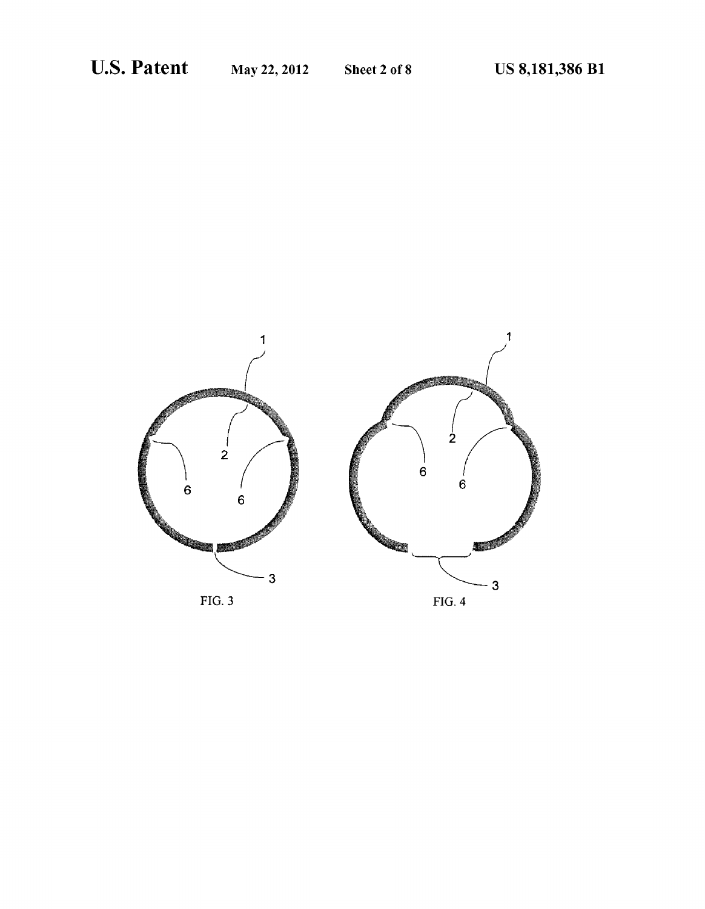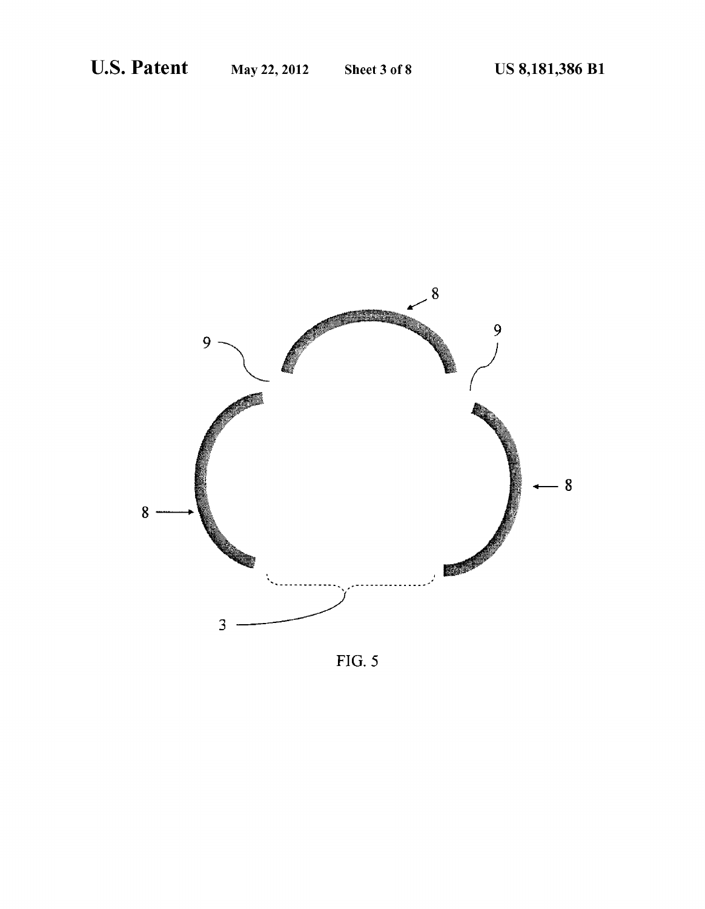

 $FIG. 5$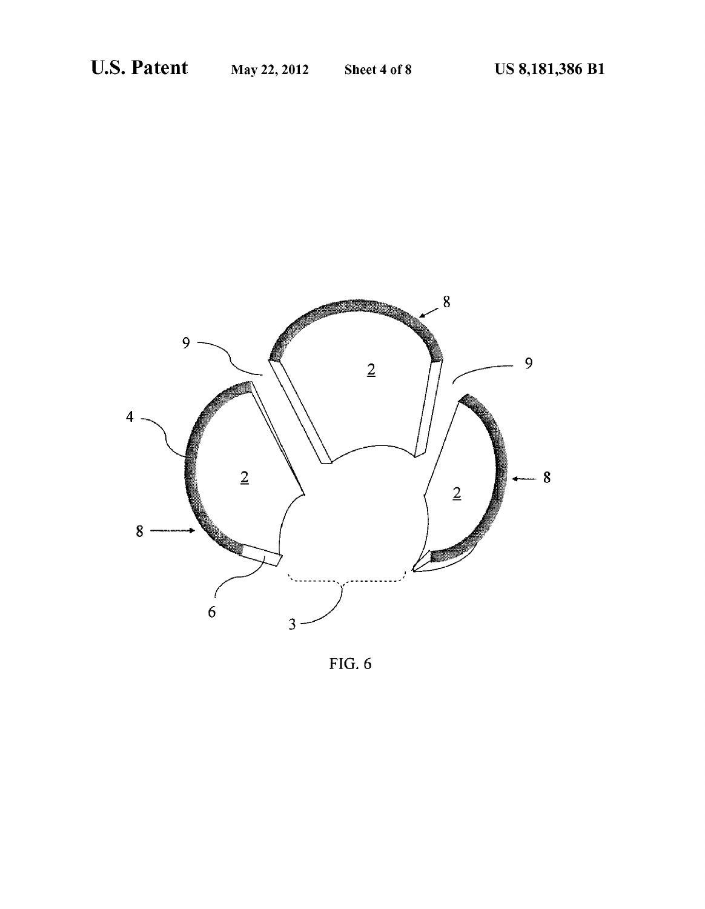

FIG. 6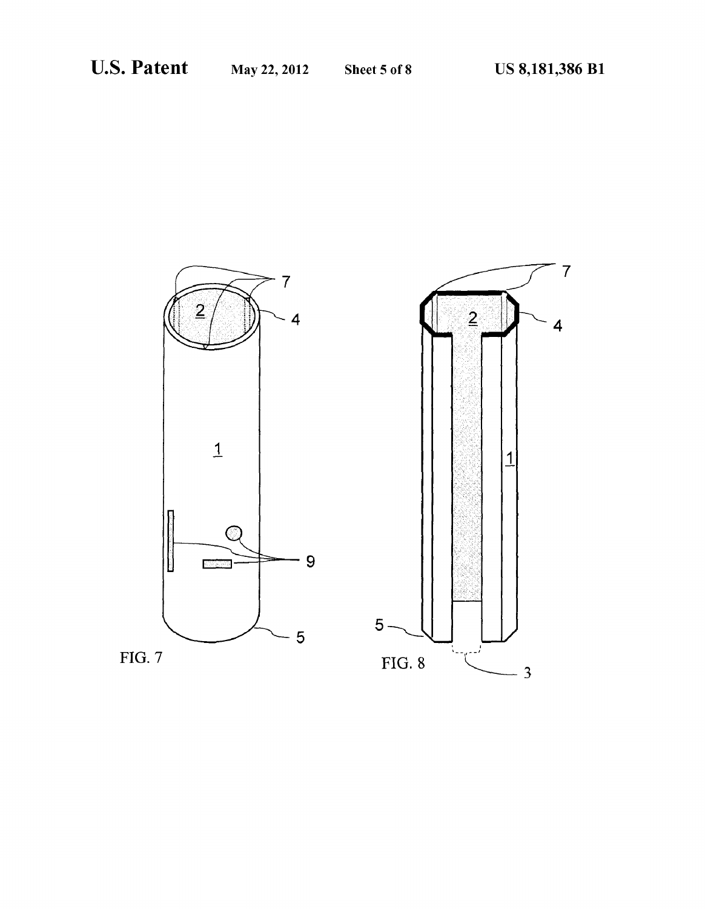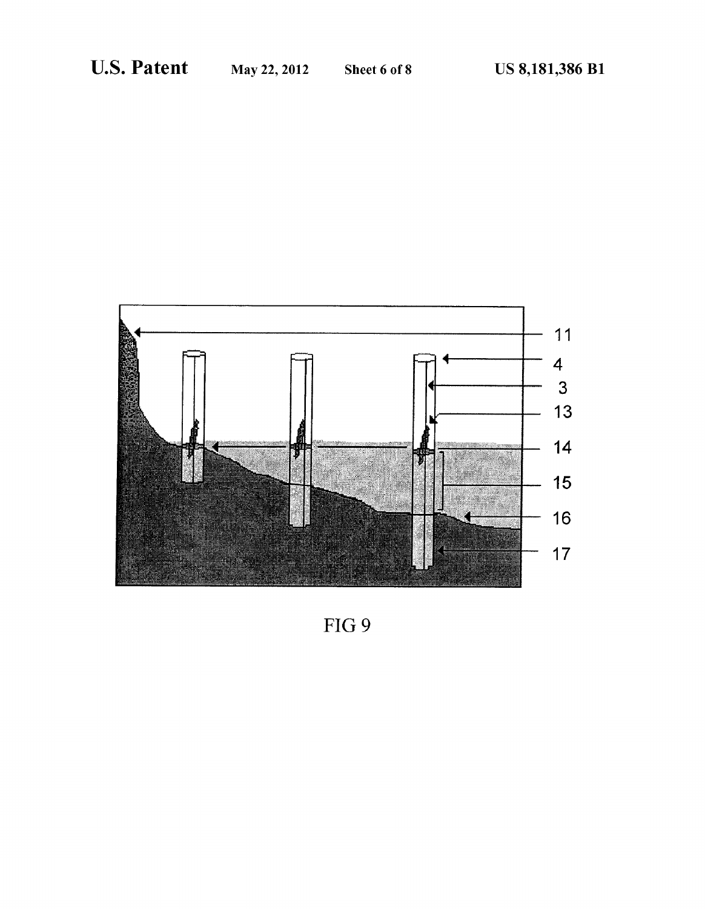

FIG 9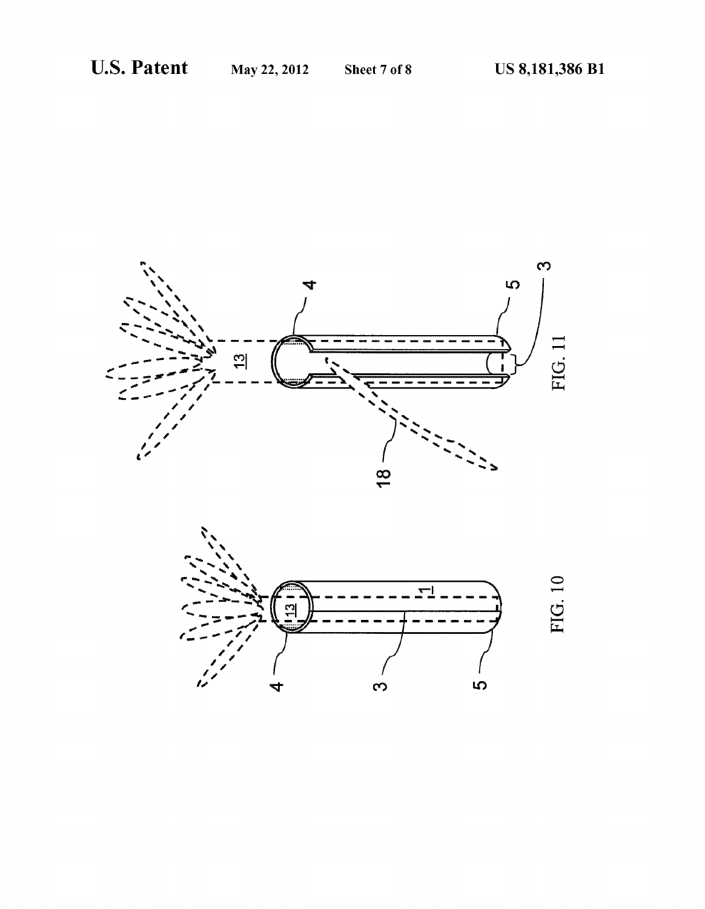